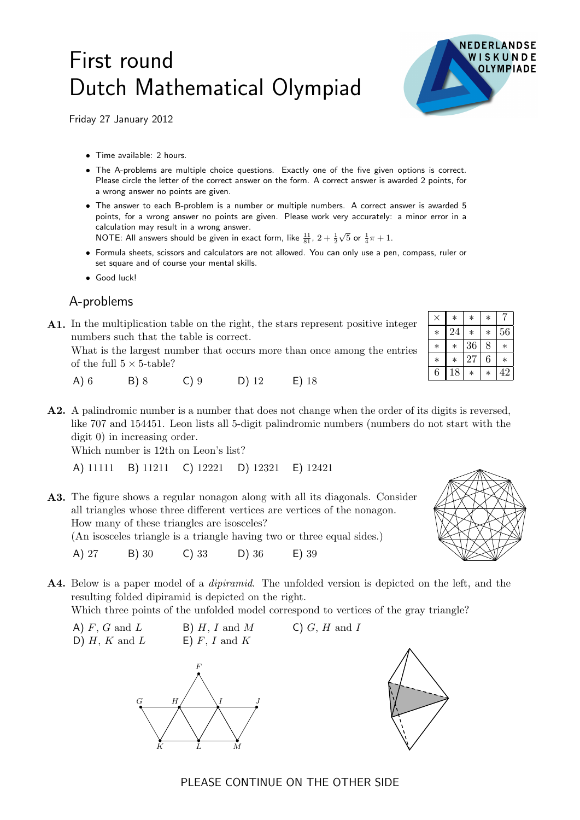## First round Dutch Mathematical Olympiad

Friday 27 January 2012

- Time available: 2 hours.
- The A-problems are multiple choice questions. Exactly one of the five given options is correct. Please circle the letter of the correct answer on the form. A correct answer is awarded 2 points, for a wrong answer no points are given.
- The answer to each B-problem is a number or multiple numbers. A correct answer is awarded 5 points, for a wrong answer no points are given. Please work very accurately: a minor error in a calculation may result in a wrong answer.

NOTE: All answers should be given in exact form, like  $\frac{11}{81}$ ,  $2+\frac{1}{2}$  $\sqrt{5}$  or  $\frac{1}{4}\pi + 1$ .

- Formula sheets, scissors and calculators are not allowed. You can only use a pen, compass, ruler or set square and of course your mental skills.
- Good luck!

## A-problems

A1. <sup>×</sup> <sup>∗</sup> <sup>∗</sup> <sup>∗</sup> <sup>7</sup> In the multiplication table on the right, the stars represent positive integer numbers such that the table is correct.

What is the largest number that occurs more than once among the entries of the full  $5 \times 5$ -table?

- A) 6 B) 8 C) 9 D) 12 E) 18
- A2. A palindromic number is a number that does not change when the order of its digits is reversed, like 707 and 154451. Leon lists all 5-digit palindromic numbers (numbers do not start with the digit 0) in increasing order.

Which number is 12th on Leon's list?

```
A) 11111 B) 11211 C) 12221 D) 12321 E) 12421
```
A3. The figure shows a regular nonagon along with all its diagonals. Consider all triangles whose three different vertices are vertices of the nonagon. How many of these triangles are isosceles?

(An isosceles triangle is a triangle having two or three equal sides.)

- A) 27 B) 30 C) 33 D) 36 E) 39
- A4. Below is a paper model of a *dipiramid*. The unfolded version is depicted on the left, and the resulting folded dipiramid is depicted on the right.

Which three points of the unfolded model correspond to vertices of the gray triangle?

A)  $F$ ,  $G$  and  $L$  B)  $H$ ,  $I$  and  $M$  C)  $G$ ,  $H$  and  $I$ D)  $H$ ,  $K$  and  $L$  E)  $F$ ,  $I$  and  $K$ 



K L M



|        | $^\ast$ | ∗      | ∗      |    |
|--------|---------|--------|--------|----|
|        | 24      | $\ast$ | $\ast$ | 56 |
| ∗      | ∗       | 36     | 8      | ∗  |
| $\ast$ |         | 27     | 6      |    |
| 6      | 18      | ∗      | ∗      | 42 |